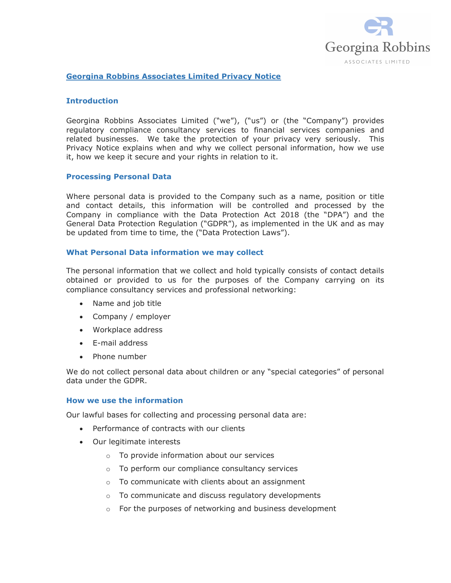

## Georgina Robbins Associates Limited Privacy Notice

## Introduction

Georgina Robbins Associates Limited ("we"), ("us") or (the "Company") provides regulatory compliance consultancy services to financial services companies and related businesses. We take the protection of your privacy very seriously. This Privacy Notice explains when and why we collect personal information, how we use it, how we keep it secure and your rights in relation to it.

### Processing Personal Data

Where personal data is provided to the Company such as a name, position or title and contact details, this information will be controlled and processed by the Company in compliance with the Data Protection Act 2018 (the "DPA") and the General Data Protection Regulation ("GDPR"), as implemented in the UK and as may be updated from time to time, the ("Data Protection Laws").

### What Personal Data information we may collect

The personal information that we collect and hold typically consists of contact details obtained or provided to us for the purposes of the Company carrying on its compliance consultancy services and professional networking:

- Name and job title
- Company / employer
- Workplace address
- E-mail address
- Phone number

We do not collect personal data about children or any "special categories" of personal data under the GDPR.

### How we use the information

Our lawful bases for collecting and processing personal data are:

- Performance of contracts with our clients
- Our legitimate interests
	- o To provide information about our services
	- o To perform our compliance consultancy services
	- o To communicate with clients about an assignment
	- o To communicate and discuss regulatory developments
	- o For the purposes of networking and business development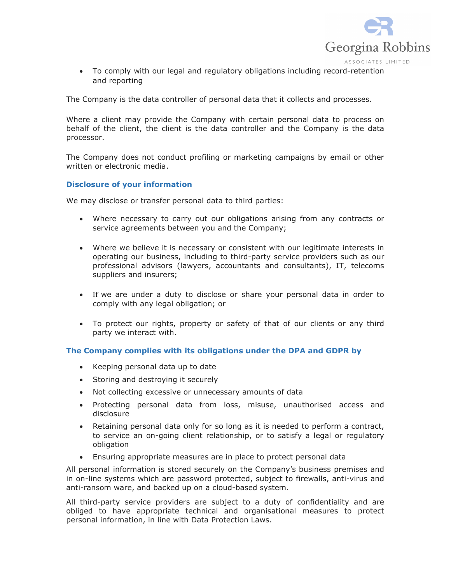

 To comply with our legal and regulatory obligations including record-retention and reporting

The Company is the data controller of personal data that it collects and processes.

Where a client may provide the Company with certain personal data to process on behalf of the client, the client is the data controller and the Company is the data processor.

The Company does not conduct profiling or marketing campaigns by email or other written or electronic media.

# Disclosure of your information

We may disclose or transfer personal data to third parties:

- Where necessary to carry out our obligations arising from any contracts or service agreements between you and the Company;
- Where we believe it is necessary or consistent with our legitimate interests in operating our business, including to third-party service providers such as our professional advisors (lawyers, accountants and consultants), IT, telecoms suppliers and insurers;
- If we are under a duty to disclose or share your personal data in order to comply with any legal obligation; or
- To protect our rights, property or safety of that of our clients or any third party we interact with.

# The Company complies with its obligations under the DPA and GDPR by

- Keeping personal data up to date
- Storing and destroying it securely
- Not collecting excessive or unnecessary amounts of data
- Protecting personal data from loss, misuse, unauthorised access and disclosure
- Retaining personal data only for so long as it is needed to perform a contract, to service an on-going client relationship, or to satisfy a legal or regulatory obligation
- Ensuring appropriate measures are in place to protect personal data

All personal information is stored securely on the Company's business premises and in on-line systems which are password protected, subject to firewalls, anti-virus and anti-ransom ware, and backed up on a cloud-based system.

All third-party service providers are subject to a duty of confidentiality and are obliged to have appropriate technical and organisational measures to protect personal information, in line with Data Protection Laws.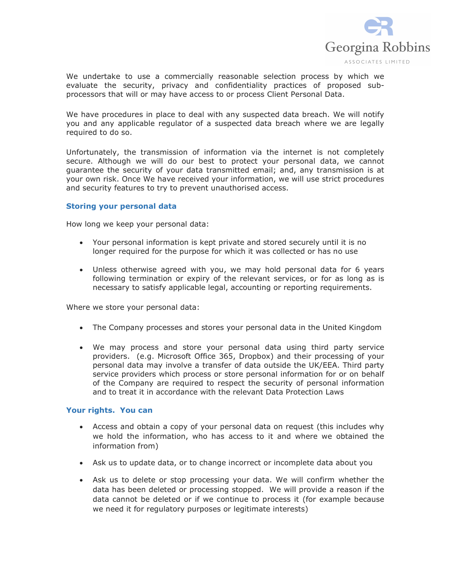

We undertake to use a commercially reasonable selection process by which we evaluate the security, privacy and confidentiality practices of proposed subprocessors that will or may have access to or process Client Personal Data.

We have procedures in place to deal with any suspected data breach. We will notify you and any applicable regulator of a suspected data breach where we are legally required to do so.

Unfortunately, the transmission of information via the internet is not completely secure. Although we will do our best to protect your personal data, we cannot guarantee the security of your data transmitted email; and, any transmission is at your own risk. Once We have received your information, we will use strict procedures and security features to try to prevent unauthorised access.

## Storing your personal data

How long we keep your personal data:

- Your personal information is kept private and stored securely until it is no longer required for the purpose for which it was collected or has no use
- Unless otherwise agreed with you, we may hold personal data for 6 years following termination or expiry of the relevant services, or for as long as is necessary to satisfy applicable legal, accounting or reporting requirements.

Where we store your personal data:

- The Company processes and stores your personal data in the United Kingdom
- We may process and store your personal data using third party service providers. (e.g. Microsoft Office 365, Dropbox) and their processing of your personal data may involve a transfer of data outside the UK/EEA. Third party service providers which process or store personal information for or on behalf of the Company are required to respect the security of personal information and to treat it in accordance with the relevant Data Protection Laws

### Your rights. You can

- Access and obtain a copy of your personal data on request (this includes why we hold the information, who has access to it and where we obtained the information from)
- Ask us to update data, or to change incorrect or incomplete data about you
- Ask us to delete or stop processing your data. We will confirm whether the data has been deleted or processing stopped. We will provide a reason if the data cannot be deleted or if we continue to process it (for example because we need it for regulatory purposes or legitimate interests)